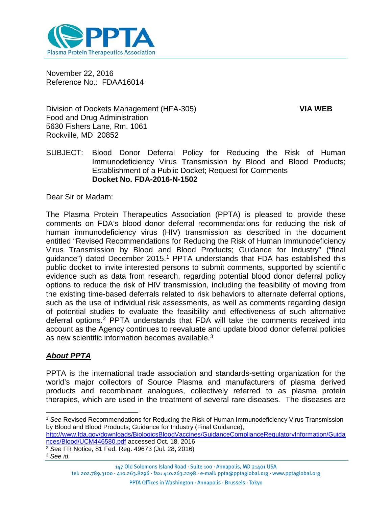

November 22, 2016 Reference No.: FDAA16014

Division of Dockets Management (HFA-305) **VIA WEB** Food and Drug Administration 5630 Fishers Lane, Rm. 1061 Rockville, MD 20852

SUBJECT: Blood Donor Deferral Policy for Reducing the Risk of Human Immunodeficiency Virus Transmission by Blood and Blood Products; Establishment of a Public Docket; Request for Comments **Docket No. FDA-2016-N-1502**

Dear Sir or Madam:

The Plasma Protein Therapeutics Association (PPTA) is pleased to provide these comments on FDA's blood donor deferral recommendations for reducing the risk of human immunodeficiency virus (HIV) transmission as described in the document entitled "Revised Recommendations for Reducing the Risk of Human Immunodeficiency Virus Transmission by Blood and Blood Products; Guidance for Industry" ("final guidance") dated December 20[1](#page-0-0)5.<sup>1</sup> PPTA understands that FDA has established this public docket to invite interested persons to submit comments, supported by scientific evidence such as data from research, regarding potential blood donor deferral policy options to reduce the risk of HIV transmission, including the feasibility of moving from the existing time-based deferrals related to risk behaviors to alternate deferral options, such as the use of individual risk assessments, as well as comments regarding design of potential studies to evaluate the feasibility and effectiveness of such alternative deferral options.[2](#page-0-1) PPTA understands that FDA will take the comments received into account as the Agency continues to reevaluate and update blood donor deferral policies as new scientific information becomes available.<sup>[3](#page-0-2)</sup>

# *About PPTA*

PPTA is the international trade association and standards-setting organization for the world's major collectors of Source Plasma and manufacturers of plasma derived products and recombinant analogues, collectively referred to as plasma protein therapies, which are used in the treatment of several rare diseases. The diseases are

[http://www.fda.gov/downloads/BiologicsBloodVaccines/GuidanceComplianceRegulatoryInformation/Guida](http://www.fda.gov/downloads/BiologicsBloodVaccines/GuidanceComplianceRegulatoryInformation/Guidances/Blood/UCM446580.pdf) [nces/Blood/UCM446580.pdf](http://www.fda.gov/downloads/BiologicsBloodVaccines/GuidanceComplianceRegulatoryInformation/Guidances/Blood/UCM446580.pdf) accessed Oct. 18, 2016

<span id="page-0-1"></span><sup>2</sup> *See* FR Notice, 81 Fed. Reg. 49673 (Jul. 28, 2016)

 $\overline{a}$ 

<span id="page-0-0"></span><sup>1</sup> *See* Revised Recommendations for Reducing the Risk of Human Immunodeficiency Virus Transmission by Blood and Blood Products; Guidance for Industry (Final Guidance),

<span id="page-0-2"></span><sup>3</sup> *See id.*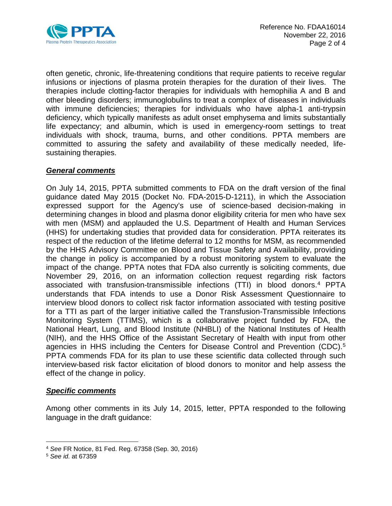

often genetic, chronic, life-threatening conditions that require patients to receive regular infusions or injections of plasma protein therapies for the duration of their lives. The therapies include clotting-factor therapies for individuals with hemophilia A and B and other bleeding disorders; immunoglobulins to treat a complex of diseases in individuals with immune deficiencies; therapies for individuals who have alpha-1 anti-trypsin deficiency, which typically manifests as adult onset emphysema and limits substantially life expectancy; and albumin, which is used in emergency-room settings to treat individuals with shock, trauma, burns, and other conditions. PPTA members are committed to assuring the safety and availability of these medically needed, lifesustaining therapies.

## *General comments*

On July 14, 2015, PPTA submitted comments to FDA on the draft version of the final guidance dated May 2015 (Docket No. FDA-2015-D-1211), in which the Association expressed support for the Agency's use of science-based decision-making in determining changes in blood and plasma donor eligibility criteria for men who have sex with men (MSM) and applauded the U.S. Department of Health and Human Services (HHS) for undertaking studies that provided data for consideration. PPTA reiterates its respect of the reduction of the lifetime deferral to 12 months for MSM, as recommended by the HHS Advisory Committee on Blood and Tissue Safety and Availability, providing the change in policy is accompanied by a robust monitoring system to evaluate the impact of the change. PPTA notes that FDA also currently is soliciting comments, due November 29, 2016, on an information collection request regarding risk factors associated with transfusion-transmissible infections (TTI) in blood donors.[4](#page-1-0) PPTA understands that FDA intends to use a Donor Risk Assessment Questionnaire to interview blood donors to collect risk factor information associated with testing positive for a TTI as part of the larger initiative called the Transfusion-Transmissible Infections Monitoring System (TTIMS), which is a collaborative project funded by FDA, the National Heart, Lung, and Blood Institute (NHBLI) of the National Institutes of Health (NIH), and the HHS Office of the Assistant Secretary of Health with input from other agencies in HHS including the Centers for Disease Control and Prevention (CDC).[5](#page-1-1) PPTA commends FDA for its plan to use these scientific data collected through such interview-based risk factor elicitation of blood donors to monitor and help assess the effect of the change in policy.

#### *Specific comments*

Among other comments in its July 14, 2015, letter, PPTA responded to the following language in the draft guidance:

<sup>4</sup> *See* FR Notice, 81 Fed. Reg. 67358 (Sep. 30, 2016)  $\overline{a}$ 

<span id="page-1-1"></span><span id="page-1-0"></span><sup>5</sup> *See id.* at 67359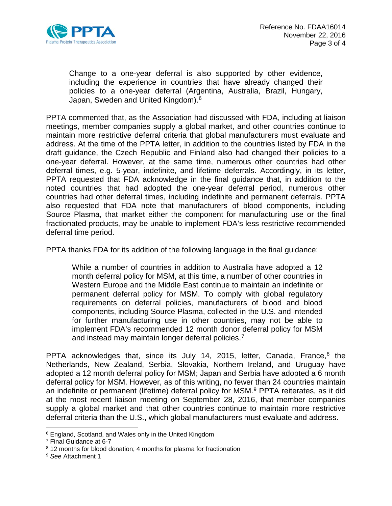

Change to a one-year deferral is also supported by other evidence, including the experience in countries that have already changed their policies to a one-year deferral (Argentina, Australia, Brazil, Hungary, Japan, Sweden and United Kingdom).<sup>[6](#page-2-0)</sup>

PPTA commented that, as the Association had discussed with FDA, including at liaison meetings, member companies supply a global market, and other countries continue to maintain more restrictive deferral criteria that global manufacturers must evaluate and address. At the time of the PPTA letter, in addition to the countries listed by FDA in the draft guidance, the Czech Republic and Finland also had changed their policies to a one-year deferral. However, at the same time, numerous other countries had other deferral times, e.g. 5-year, indefinite, and lifetime deferrals. Accordingly, in its letter, PPTA requested that FDA acknowledge in the final guidance that, in addition to the noted countries that had adopted the one-year deferral period, numerous other countries had other deferral times, including indefinite and permanent deferrals. PPTA also requested that FDA note that manufacturers of blood components, including Source Plasma, that market either the component for manufacturing use or the final fractionated products, may be unable to implement FDA's less restrictive recommended deferral time period.

PPTA thanks FDA for its addition of the following language in the final guidance:

While a number of countries in addition to Australia have adopted a 12 month deferral policy for MSM, at this time, a number of other countries in Western Europe and the Middle East continue to maintain an indefinite or permanent deferral policy for MSM. To comply with global regulatory requirements on deferral policies, manufacturers of blood and blood components, including Source Plasma, collected in the U.S. and intended for further manufacturing use in other countries, may not be able to implement FDA's recommended 12 month donor deferral policy for MSM and instead may maintain longer deferral policies.<sup>[7](#page-2-1)</sup>

PPTA acknowledges that, since its July 14, 2015, letter, Canada, France,<sup>8</sup> the Netherlands, New Zealand, Serbia, Slovakia, Northern Ireland, and Uruguay have adopted a 12 month deferral policy for MSM; Japan and Serbia have adopted a 6 month deferral policy for MSM. However, as of this writing, no fewer than 24 countries maintain an indefinite or permanent (lifetime) deferral policy for MSM.<sup>[9](#page-2-3)</sup> PPTA reiterates, as it did at the most recent liaison meeting on September 28, 2016, that member companies supply a global market and that other countries continue to maintain more restrictive deferral criteria than the U.S., which global manufacturers must evaluate and address.

 $\overline{a}$ 

<span id="page-2-0"></span><sup>6</sup> England, Scotland, and Wales only in the United Kingdom

<span id="page-2-1"></span><sup>7</sup> Final Guidance at 6-7

<span id="page-2-2"></span><sup>&</sup>lt;sup>8</sup> 12 months for blood donation; 4 months for plasma for fractionation

<span id="page-2-3"></span><sup>9</sup> *See* Attachment 1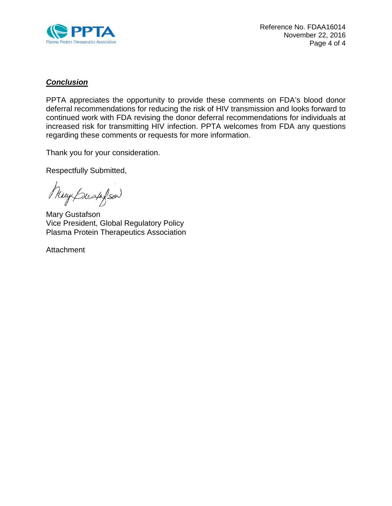

## *Conclusion*

PPTA appreciates the opportunity to provide these comments on FDA's blood donor deferral recommendations for reducing the risk of HIV transmission and looks forward to continued work with FDA revising the donor deferral recommendations for individuals at increased risk for transmitting HIV infection. PPTA welcomes from FDA any questions regarding these comments or requests for more information.

Thank you for your consideration.

Respectfully Submitted,

Muy Bush Son)

Mary Gustafson Vice President, Global Regulatory Policy Plasma Protein Therapeutics Association

**Attachment**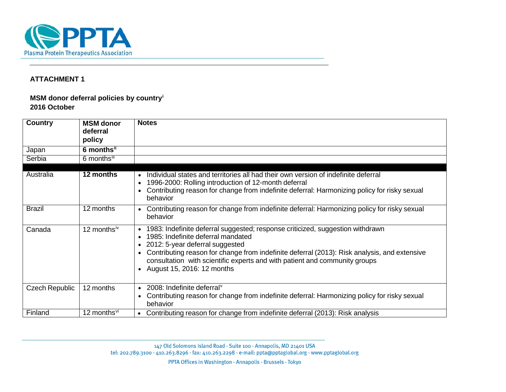

### **ATTACHMENT 1**

### **MSM donor deferral policies by country[i](#page-9-0) 2016 October**

| Country               | <b>MSM</b> donor<br>deferral<br>policy | <b>Notes</b>                                                                                                                                                                                                                                                                                                                                                            |
|-----------------------|----------------------------------------|-------------------------------------------------------------------------------------------------------------------------------------------------------------------------------------------------------------------------------------------------------------------------------------------------------------------------------------------------------------------------|
| Japan                 | 6 monthsii                             |                                                                                                                                                                                                                                                                                                                                                                         |
| Serbia                | 6 monthsill                            |                                                                                                                                                                                                                                                                                                                                                                         |
| Australia             | 12 months                              | Individual states and territories all had their own version of indefinite deferral<br>1996-2000: Rolling introduction of 12-month deferral<br>Contributing reason for change from indefinite deferral: Harmonizing policy for risky sexual<br>behavior                                                                                                                  |
| <b>Brazil</b>         | 12 months                              | • Contributing reason for change from indefinite deferral: Harmonizing policy for risky sexual<br>behavior                                                                                                                                                                                                                                                              |
| Canada                | 12 monthsiv                            | • 1983: Indefinite deferral suggested; response criticized, suggestion withdrawn<br>1985: Indefinite deferral mandated<br>• 2012: 5-year deferral suggested<br>Contributing reason for change from indefinite deferral (2013): Risk analysis, and extensive<br>consultation with scientific experts and with patient and community groups<br>August 15, 2016: 12 months |
| <b>Czech Republic</b> | 12 months                              | $\bullet$ 2008: Indefinite deferral <sup><math>\vee</math></sup><br>Contributing reason for change from indefinite deferral: Harmonizing policy for risky sexual<br>behavior                                                                                                                                                                                            |
| Finland               | 12 months <sup>vi</sup>                | Contributing reason for change from indefinite deferral (2013): Risk analysis<br>$\bullet$                                                                                                                                                                                                                                                                              |

147 Old Solomons Island Road · Suite 100 · Annapolis, MD 21401 USA tel: 202.789.3100 · 410.263.8296 · fax: 410.263.2298 · e-mail: ppta@pptaglobal.org · www.pptaglobal.org

PPTA Offices in Washington · Annapolis · Brussels · Tokyo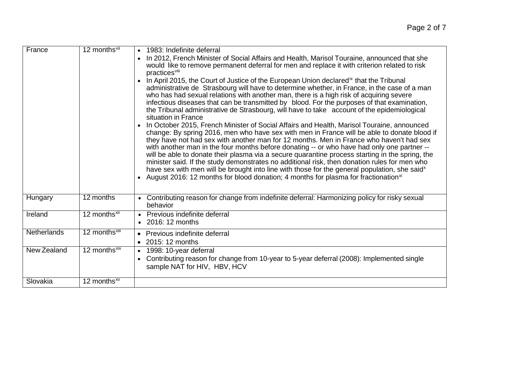| France      | 12 months <sup>vii</sup>  | 1983: Indefinite deferral<br>$\bullet$<br>In 2012, French Minister of Social Affairs and Health, Marisol Touraine, announced that she<br>would like to remove permanent deferral for men and replace it with criterion related to risk<br>practices <sup>viii</sup><br>In April 2015, the Court of Justice of the European Union declared <sup>ix</sup> that the Tribunal<br>administrative de Strasbourg will have to determine whether, in France, in the case of a man<br>who has had sexual relations with another man, there is a high risk of acquiring severe<br>infectious diseases that can be transmitted by blood. For the purposes of that examination,<br>the Tribunal administrative de Strasbourg, will have to take account of the epidemiological<br>situation in France<br>In October 2015, French Minister of Social Affairs and Health, Marisol Touraine, announced<br>change: By spring 2016, men who have sex with men in France will be able to donate blood if<br>they have not had sex with another man for 12 months. Men in France who haven't had sex<br>with another man in the four months before donating -- or who have had only one partner --<br>will be able to donate their plasma via a secure quarantine process starting in the spring, the<br>minister said. If the study demonstrates no additional risk, then donation rules for men who<br>have sex with men will be brought into line with those for the general population, she said <sup>x</sup><br>August 2016: 12 months for blood donation; 4 months for plasma for fractionation <sup>xi</sup> |
|-------------|---------------------------|--------------------------------------------------------------------------------------------------------------------------------------------------------------------------------------------------------------------------------------------------------------------------------------------------------------------------------------------------------------------------------------------------------------------------------------------------------------------------------------------------------------------------------------------------------------------------------------------------------------------------------------------------------------------------------------------------------------------------------------------------------------------------------------------------------------------------------------------------------------------------------------------------------------------------------------------------------------------------------------------------------------------------------------------------------------------------------------------------------------------------------------------------------------------------------------------------------------------------------------------------------------------------------------------------------------------------------------------------------------------------------------------------------------------------------------------------------------------------------------------------------------------------------------------------------------------------------------------------|
| Hungary     | 12 months                 | Contributing reason for change from indefinite deferral: Harmonizing policy for risky sexual<br>behavior                                                                                                                                                                                                                                                                                                                                                                                                                                                                                                                                                                                                                                                                                                                                                                                                                                                                                                                                                                                                                                                                                                                                                                                                                                                                                                                                                                                                                                                                                         |
| Ireland     | 12 months <sup>xii</sup>  | Previous indefinite deferral<br>$\bullet$<br>• 2016: 12 months                                                                                                                                                                                                                                                                                                                                                                                                                                                                                                                                                                                                                                                                                                                                                                                                                                                                                                                                                                                                                                                                                                                                                                                                                                                                                                                                                                                                                                                                                                                                   |
| Netherlands | 12 months <sup>xiii</sup> | Previous indefinite deferral<br>$\bullet$<br>2015: 12 months                                                                                                                                                                                                                                                                                                                                                                                                                                                                                                                                                                                                                                                                                                                                                                                                                                                                                                                                                                                                                                                                                                                                                                                                                                                                                                                                                                                                                                                                                                                                     |
| New Zealand | 12 months <sup>xiv</sup>  | 1998: 10-year deferral<br>$\bullet$<br>Contributing reason for change from 10-year to 5-year deferral (2008): Implemented single<br>sample NAT for HIV, HBV, HCV                                                                                                                                                                                                                                                                                                                                                                                                                                                                                                                                                                                                                                                                                                                                                                                                                                                                                                                                                                                                                                                                                                                                                                                                                                                                                                                                                                                                                                 |
| Slovakia    | 12 months <sup>xv</sup>   |                                                                                                                                                                                                                                                                                                                                                                                                                                                                                                                                                                                                                                                                                                                                                                                                                                                                                                                                                                                                                                                                                                                                                                                                                                                                                                                                                                                                                                                                                                                                                                                                  |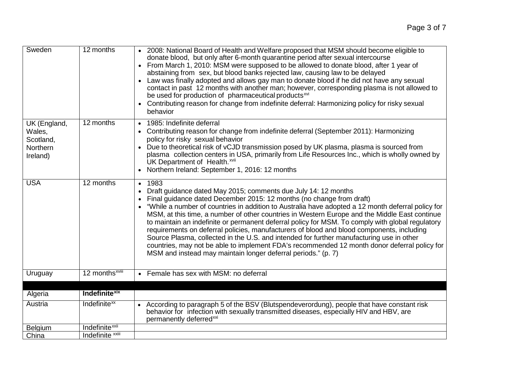| Sweden                                                      | 12 months                  | • 2008: National Board of Health and Welfare proposed that MSM should become eligible to<br>donate blood, but only after 6-month quarantine period after sexual intercourse<br>From March 1, 2010: MSM were supposed to be allowed to donate blood, after 1 year of<br>abstaining from sex, but blood banks rejected law, causing law to be delayed<br>Law was finally adopted and allows gay man to donate blood if he did not have any sexual<br>contact in past 12 months with another man; however, corresponding plasma is not allowed to<br>be used for production of pharmaceutical products <sup>xvi</sup><br>Contributing reason for change from indefinite deferral: Harmonizing policy for risky sexual<br>behavior                                                                                                                            |
|-------------------------------------------------------------|----------------------------|-----------------------------------------------------------------------------------------------------------------------------------------------------------------------------------------------------------------------------------------------------------------------------------------------------------------------------------------------------------------------------------------------------------------------------------------------------------------------------------------------------------------------------------------------------------------------------------------------------------------------------------------------------------------------------------------------------------------------------------------------------------------------------------------------------------------------------------------------------------|
| UK (England,<br>Wales,<br>Scotland,<br>Northern<br>Ireland) | 12 months                  | 1985: Indefinite deferral<br>$\bullet$<br>Contributing reason for change from indefinite deferral (September 2011): Harmonizing<br>policy for risky sexual behavior<br>Due to theoretical risk of vCJD transmission posed by UK plasma, plasma is sourced from<br>plasma collection centers in USA, primarily from Life Resources Inc., which is wholly owned by<br>UK Department of Health. xvii<br>Northern Ireland: September 1, 2016: 12 months                                                                                                                                                                                                                                                                                                                                                                                                       |
| <b>USA</b>                                                  | 12 months                  | 1983<br>$\bullet$<br>Draft guidance dated May 2015; comments due July 14: 12 months<br>$\bullet$<br>Final guidance dated December 2015: 12 months (no change from draft)<br>$\bullet$<br>"While a number of countries in addition to Australia have adopted a 12 month deferral policy for<br>MSM, at this time, a number of other countries in Western Europe and the Middle East continue<br>to maintain an indefinite or permanent deferral policy for MSM. To comply with global regulatory<br>requirements on deferral policies, manufacturers of blood and blood components, including<br>Source Plasma, collected in the U.S. and intended for further manufacturing use in other<br>countries, may not be able to implement FDA's recommended 12 month donor deferral policy for<br>MSM and instead may maintain longer deferral periods." (p. 7) |
| Uruguay                                                     | 12 months <sup>xviii</sup> | Female has sex with MSM: no deferral                                                                                                                                                                                                                                                                                                                                                                                                                                                                                                                                                                                                                                                                                                                                                                                                                      |
| Algeria                                                     | <b>Indefinite</b> xix      |                                                                                                                                                                                                                                                                                                                                                                                                                                                                                                                                                                                                                                                                                                                                                                                                                                                           |
| Austria                                                     | Indefinite <sup>xx</sup>   | According to paragraph 5 of the BSV (Blutspendeverordung), people that have constant risk<br>behavior for infection with sexually transmitted diseases, especially HIV and HBV, are<br>permanently deferred <sup>xxi</sup>                                                                                                                                                                                                                                                                                                                                                                                                                                                                                                                                                                                                                                |
| Belgium                                                     | Indefinite <sup>xxii</sup> |                                                                                                                                                                                                                                                                                                                                                                                                                                                                                                                                                                                                                                                                                                                                                                                                                                                           |
| China                                                       | Indefinite xxiii           |                                                                                                                                                                                                                                                                                                                                                                                                                                                                                                                                                                                                                                                                                                                                                                                                                                                           |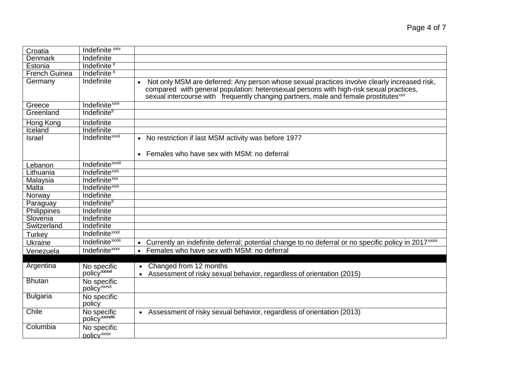| Croatia              | Indefinite <sup>xxiv</sup>              |                                                                                                                               |
|----------------------|-----------------------------------------|-------------------------------------------------------------------------------------------------------------------------------|
| <b>Denmark</b>       | Indefinite                              |                                                                                                                               |
| Estonia              | Indefinite <sup>ll</sup>                |                                                                                                                               |
| <b>French Guinea</b> | Indefinite <sup>11</sup>                |                                                                                                                               |
| Germany              | Indefinite                              | Not only MSM are deferred: Any person whose sexual practices involve clearly increased risk,<br>$\bullet$                     |
|                      |                                         | compared with general population: heterosexual persons with high-risk sexual practices,                                       |
|                      |                                         | sexual intercourse with frequently changing partners, male and female prostitutes xxv                                         |
| Greece               | Indefinite <sup>xxvi</sup>              |                                                                                                                               |
| Greenland            | Indefinite <sup>"</sup>                 |                                                                                                                               |
| Hong Kong            | Indefinite                              |                                                                                                                               |
| Iceland              | Indefinite                              |                                                                                                                               |
| Israel               | Indefinite <sup>xxvii</sup>             | • No restriction if last MSM activity was before 1977                                                                         |
|                      |                                         | • Females who have sex with MSM: no deferral                                                                                  |
| Lebanon              | Indefinite <sup>xxviii</sup>            |                                                                                                                               |
| Lithuania            | Indefinite <sup>xxix</sup>              |                                                                                                                               |
| Malaysia             | Indefinite <sup>xxx</sup>               |                                                                                                                               |
| Malta                | Indefinite <sup>xxxi</sup>              |                                                                                                                               |
| Norway               | Indefinite                              |                                                                                                                               |
| Paraguay             | Indefinite <sup>"</sup>                 |                                                                                                                               |
| Philippines          | Indefinite                              |                                                                                                                               |
| Slovenia             | Indefinite                              |                                                                                                                               |
| Switzerland          | Indefinite                              |                                                                                                                               |
| Turkey               | Indefinite <sup>xxxii</sup>             |                                                                                                                               |
| Ukraine              | Indefinite <sup>xxxiii</sup>            | Currently an indefinite deferral; potential change to no deferral or no specific policy in 2017 <sup>xxxiv</sup><br>$\bullet$ |
| Venezuela            | Indefinite <sup>xxxv</sup>              | Females who have sex with MSM: no deferral<br>$\bullet$                                                                       |
|                      |                                         |                                                                                                                               |
| Argentina            | No specific                             | Changed from 12 months                                                                                                        |
|                      | policyxxxvi                             | Assessment of risky sexual behavior, regardless of orientation (2015)<br>$\bullet$                                            |
| <b>Bhutan</b>        | No specific<br>policy <sup>xxxvii</sup> |                                                                                                                               |
| <b>Bulgaria</b>      | No specific                             |                                                                                                                               |
|                      | policy                                  |                                                                                                                               |
| Chile                | No specific                             | • Assessment of risky sexual behavior, regardless of orientation (2013)                                                       |
|                      | policy <sup>xxxviii</sup>               |                                                                                                                               |
| Columbia             | No specific                             |                                                                                                                               |
|                      | policy <sup>xxxix</sup>                 |                                                                                                                               |
|                      |                                         |                                                                                                                               |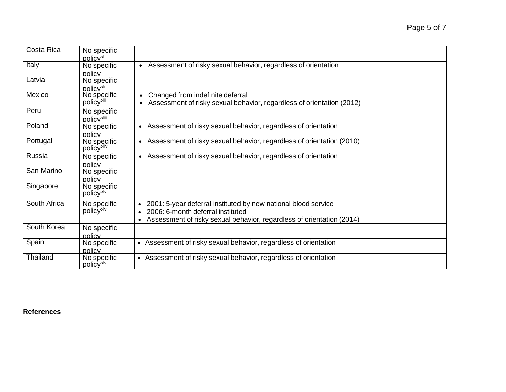| <b>Costa Rica</b> | No specific             |                                                                                    |
|-------------------|-------------------------|------------------------------------------------------------------------------------|
|                   | policy <sup>xl</sup>    |                                                                                    |
| Italy             | No specific             | • Assessment of risky sexual behavior, regardless of orientation                   |
|                   | policy                  |                                                                                    |
| Latvia            | No specific             |                                                                                    |
|                   | policy <sup>xli</sup>   |                                                                                    |
| Mexico            | No specific             | Changed from indefinite deferral                                                   |
|                   | policy <sup>xlii</sup>  | Assessment of risky sexual behavior, regardless of orientation (2012)              |
| Peru              | No specific             |                                                                                    |
|                   | policy <sup>xliii</sup> |                                                                                    |
| Poland            | No specific             | • Assessment of risky sexual behavior, regardless of orientation                   |
|                   | policy                  |                                                                                    |
| Portugal          | No specific             | • Assessment of risky sexual behavior, regardless of orientation (2010)            |
|                   | policy <sup>xliv</sup>  |                                                                                    |
| Russia            | No specific             | • Assessment of risky sexual behavior, regardless of orientation                   |
|                   | policy                  |                                                                                    |
| San Marino        | No specific             |                                                                                    |
|                   | policy                  |                                                                                    |
| Singapore         | No specific             |                                                                                    |
|                   | policy <sup>xlv</sup>   |                                                                                    |
| South Africa      | No specific             | 2001: 5-year deferral instituted by new national blood service                     |
|                   | policy <sup>xlvi</sup>  | 2006: 6-month deferral instituted                                                  |
|                   |                         | Assessment of risky sexual behavior, regardless of orientation (2014)<br>$\bullet$ |
| South Korea       | No specific             |                                                                                    |
|                   | policy                  |                                                                                    |
| Spain             | No specific             | • Assessment of risky sexual behavior, regardless of orientation                   |
|                   | policy                  |                                                                                    |
| Thailand          | No specific             | • Assessment of risky sexual behavior, regardless of orientation                   |
|                   | policy <sup>xlvii</sup> |                                                                                    |
|                   |                         |                                                                                    |

**References**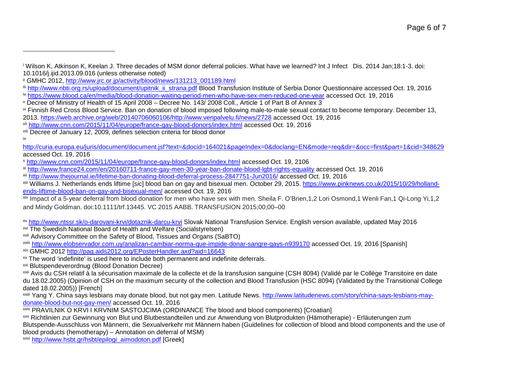<sup>i</sup> Wilson K, Atkinson K, Keelan J. Three decades of MSM donor deferral policies. What have we learned? Int J Infect Dis. 2014 Jan;18:1-3. doi: 10.1016/j.ijid.2013.09.016 (unless otherwise noted)

<span id="page-9-5"></span><span id="page-9-4"></span><span id="page-9-3"></span><span id="page-9-2"></span><span id="page-9-1"></span><span id="page-9-0"></span> $\overline{\phantom{a}}$ 

xiv Impact of a 5-year deferral from blood donation for men who have sex with men. Sheila F. O'Brien, 1, 2 Lori Osmond, 1 Wenli Fan, 1 Qi-Long Yi, 1, 2 and Mindy Goldman. doi:10.1111/trf.13445. VC 2015 AABB. TRANSFUSION 2015;00;00–00

xv <http://www.ntssr.sk/o-darovani-krvi/dotaznik-darcu-krvi> Slovak National Transfusion Service. English version available, updated May 2016

xvi The Swedish National Board of Health and Welfare (Socialstyrelsen)

xvii Advisory Committee on the Safety of Blood, Tissues and Organs (SaBTO)

xviii <http://www.elobservador.com.uy/analizan-cambiar-norma-que-impide-donar-sangre-gays-n939170> accessed Oct. 19, 2016 [Spanish] xix GMHC 2012<http://pag.aids2012.org/EPosterHandler.axd?aid=16643>

xx The word 'indefinite' is used here to include both permanent and indefinite deferrals.

xxi Blutspendeverordnug (Blood Donation Decree)

xxii Avis du CSH relatif à la sécurisation maximale de la collecte et de la transfusion sanguine (CSH 8094) (Validé par le Collège Transitoire en date du 18.02.2005) (Opinion of CSH on the maximum security of the collection and Blood Transfusion (HSC 8094) (Validated by the Transitional College dated 18.02.2005)) [French]

xxiii Yang Y. China says lesbians may donate blood, but not gay men. Latitude News. [http://www.latitudenews.com/story/china-says-lesbians-may](http://www.latitudenews.com/story/china-says-lesbians-may-donate-blood-but-not-gay-men/)[donate-blood-but-not-gay-men/](http://www.latitudenews.com/story/china-says-lesbians-may-donate-blood-but-not-gay-men/) accessed Oct. 19, 2016

xxiv PRAVILNIK O KRVI I KRVNIM SASTOJCIMA (ORDINANCE The blood and blood components) [Croatian]

xxv Richtlinien zur Gewinnung von Blut und Blutbestandteilen und zur Anwendung von Blutprodukten (Hämotherapie) - Erläuterungen zum Blutspende-Ausschluss von Männern, die Sexualverkehr mit Männern haben (Guidelines for collection of blood and blood components and the use of blood products (hemotherapy) – Annotation on deferral of MSM)

xxvi [http://www.hsbt.gr/hsbt/epilogi\\_aimodoton.pdf](http://www.hsbt.gr/hsbt/epilogi_aimodoton.pdf) [Greek]

Page 6 of 7

ii GMHC 2012, [http://www.jrc.or.jp/activity/blood/news/131213\\_001189.html](http://www.jrc.or.jp/activity/blood/news/131213_001189.html)

iii [http://www.nbti.org.rs/upload/document/upitnik\\_ii\\_strana.pdf](http://www.nbti.org.rs/upload/document/upitnik_ii_strana.pdf) Blood Transfusion Institute of Serbia Donor Questionnaire accessed Oct. 19, 2016

iv <https://www.blood.ca/en/media/blood-donation-waiting-period-men-who-have-sex-men-reduced-one-year> accessed Oct. 19, 2016

<sup>v</sup> Decree of Ministry of Health of 15 April 2008 – Decree No. 143/ 2008 Coll., Article 1 of Part B of Annex 3

vi Finnish Red Cross Blood Service. Ban on donation of blood imposed following male-to-male sexual contact to become temporary. December 13, 2013. [https://web.archive.org/web/20140706060106/http://www.veripalvelu.fi/news/2728](https://web.archive.org/web/20140706060106/http:/www.veripalvelu.fi/news/2728) accessed Oct. 19, 2016

vii <http://www.cnn.com/2015/11/04/europe/france-gay-blood-donors/index.html> accessed Oct. 19, 2016

viii Decree of January 12, 2009, defines selection criteria for blood donor

ix

<http://curia.europa.eu/juris/document/document.jsf?text=&docid=164021&pageIndex=0&doclang=EN&mode=req&dir=&occ=first&part=1&cid=348629> accessed Oct. 19, 2016

<sup>x</sup> <http://www.cnn.com/2015/11/04/europe/france-gay-blood-donors/index.html> accessed Oct. 19, 2106

xi <http://www.france24.com/en/20160711-france-gay-men-30-year-ban-donate-blood-lgbt-rights-equality> accessed Oct. 19, 2016

xii <http://www.thejournal.ie/lifetime-ban-donating-blood-deferral-process-2847751-Jun2016/> accessed Oct. 19, 2016

xiii Williams J. Netherlands ends liftime [*sic*] blood ban on gay and bisexual men. October 29, 2015. [https://www.pinknews.co.uk/2015/10/29/holland](https://www.pinknews.co.uk/2015/10/29/holland-ends-liftime-blood-ban-on-gay-and-bisexual-men/)[ends-liftime-blood-ban-on-gay-and-bisexual-men/](https://www.pinknews.co.uk/2015/10/29/holland-ends-liftime-blood-ban-on-gay-and-bisexual-men/) accessed Oct. 19, 2016